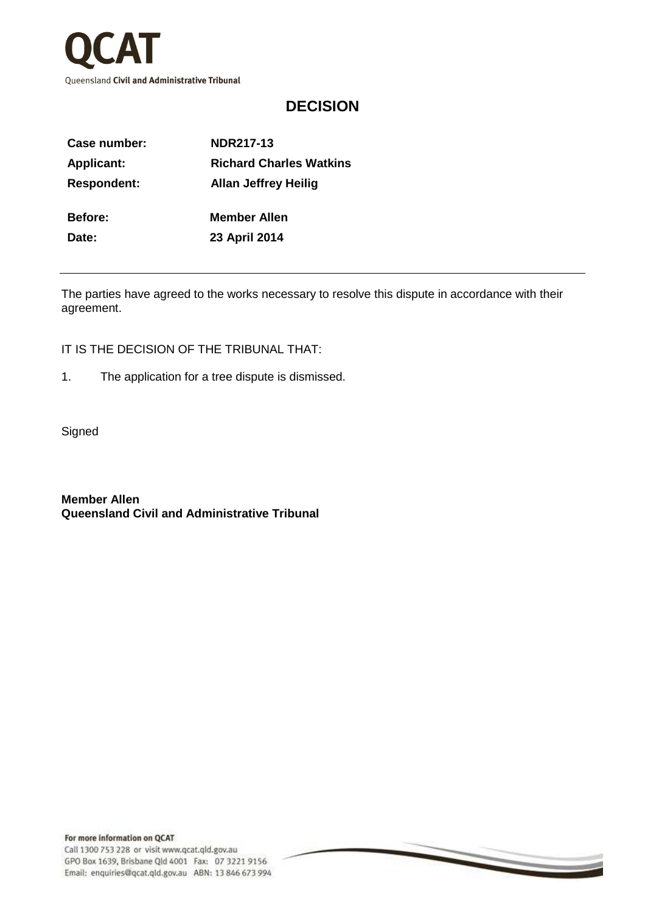

## **DECISION**

| Case number:       | <b>NDR217-13</b>               |
|--------------------|--------------------------------|
| <b>Applicant:</b>  | <b>Richard Charles Watkins</b> |
| <b>Respondent:</b> | <b>Allan Jeffrey Heilig</b>    |
| Before:            | <b>Member Allen</b>            |
| Date:              | 23 April 2014                  |
|                    |                                |

The parties have agreed to the works necessary to resolve this dispute in accordance with their agreement.

 $\overline{\phantom{0}}$ 

IT IS THE DECISION OF THE TRIBUNAL THAT:

- 1. The application for a tree dispute is dismissed.
- **Signed**

**Member Allen Queensland Civil and Administrative Tribunal**